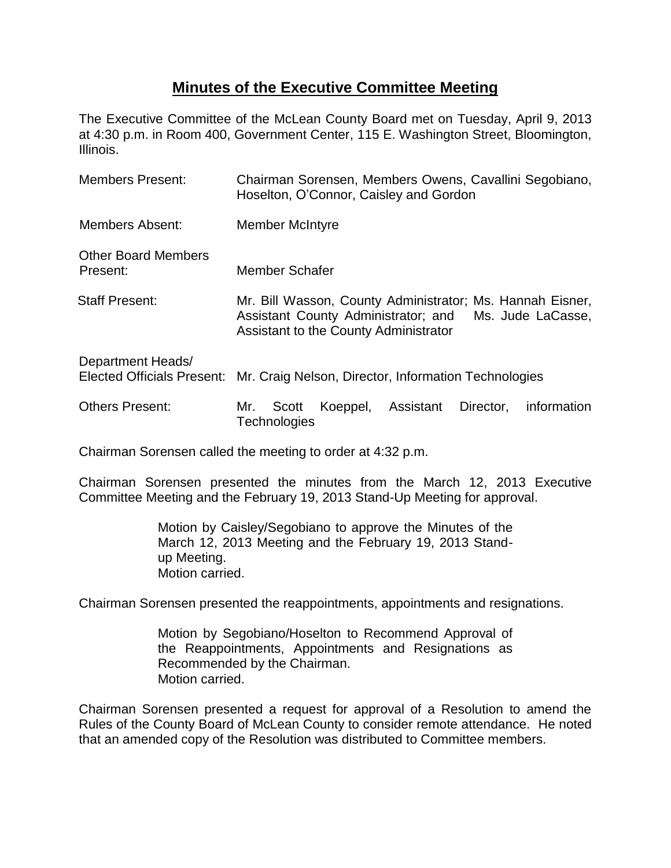## **Minutes of the Executive Committee Meeting**

The Executive Committee of the McLean County Board met on Tuesday, April 9, 2013 at 4:30 p.m. in Room 400, Government Center, 115 E. Washington Street, Bloomington, Illinois.

| <b>Members Present:</b>                                | Chairman Sorensen, Members Owens, Cavallini Segobiano,<br>Hoselton, O'Connor, Caisley and Gordon                                                               |
|--------------------------------------------------------|----------------------------------------------------------------------------------------------------------------------------------------------------------------|
| <b>Members Absent:</b>                                 | <b>Member McIntyre</b>                                                                                                                                         |
| <b>Other Board Members</b><br>Present:                 | Member Schafer                                                                                                                                                 |
| <b>Staff Present:</b>                                  | Mr. Bill Wasson, County Administrator; Ms. Hannah Eisner,<br>Assistant County Administrator; and<br>Ms. Jude LaCasse,<br>Assistant to the County Administrator |
| Department Heads/<br><b>Elected Officials Present:</b> | Mr. Craig Nelson, Director, Information Technologies                                                                                                           |
| <b>Others Present:</b>                                 | Assistant<br>Director,<br>Koeppel,<br>information<br>Scott<br>Mr.<br>Technologies                                                                              |

Chairman Sorensen called the meeting to order at 4:32 p.m.

Chairman Sorensen presented the minutes from the March 12, 2013 Executive Committee Meeting and the February 19, 2013 Stand-Up Meeting for approval.

> Motion by Caisley/Segobiano to approve the Minutes of the March 12, 2013 Meeting and the February 19, 2013 Standup Meeting. Motion carried.

Chairman Sorensen presented the reappointments, appointments and resignations.

Motion by Segobiano/Hoselton to Recommend Approval of the Reappointments, Appointments and Resignations as Recommended by the Chairman. Motion carried.

Chairman Sorensen presented a request for approval of a Resolution to amend the Rules of the County Board of McLean County to consider remote attendance. He noted that an amended copy of the Resolution was distributed to Committee members.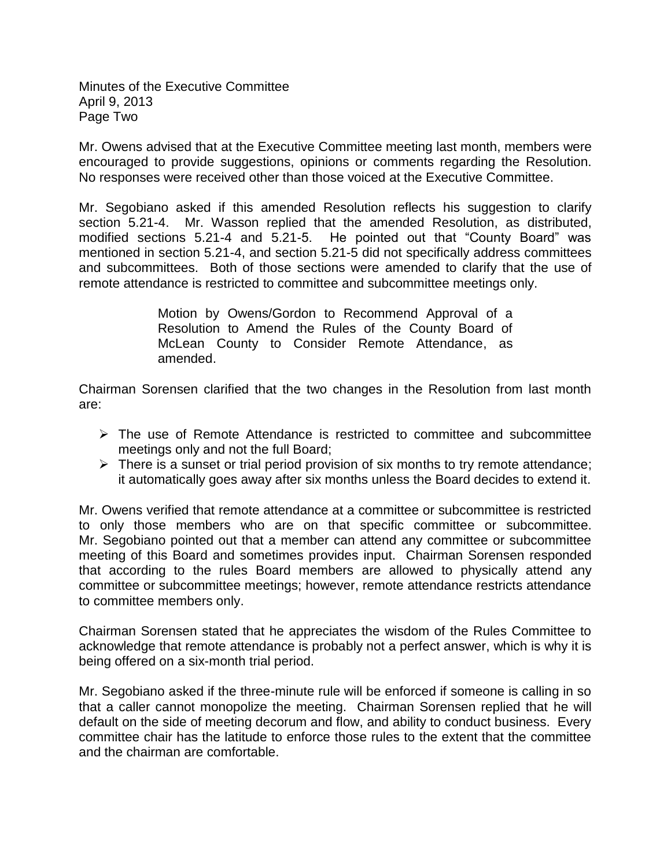Minutes of the Executive Committee April 9, 2013 Page Two

Mr. Owens advised that at the Executive Committee meeting last month, members were encouraged to provide suggestions, opinions or comments regarding the Resolution. No responses were received other than those voiced at the Executive Committee.

Mr. Segobiano asked if this amended Resolution reflects his suggestion to clarify section 5.21-4. Mr. Wasson replied that the amended Resolution, as distributed, modified sections 5.21-4 and 5.21-5. He pointed out that "County Board" was mentioned in section 5.21-4, and section 5.21-5 did not specifically address committees and subcommittees. Both of those sections were amended to clarify that the use of remote attendance is restricted to committee and subcommittee meetings only.

> Motion by Owens/Gordon to Recommend Approval of a Resolution to Amend the Rules of the County Board of McLean County to Consider Remote Attendance, as amended.

Chairman Sorensen clarified that the two changes in the Resolution from last month are:

- $\triangleright$  The use of Remote Attendance is restricted to committee and subcommittee meetings only and not the full Board;
- $\triangleright$  There is a sunset or trial period provision of six months to try remote attendance; it automatically goes away after six months unless the Board decides to extend it.

Mr. Owens verified that remote attendance at a committee or subcommittee is restricted to only those members who are on that specific committee or subcommittee. Mr. Segobiano pointed out that a member can attend any committee or subcommittee meeting of this Board and sometimes provides input. Chairman Sorensen responded that according to the rules Board members are allowed to physically attend any committee or subcommittee meetings; however, remote attendance restricts attendance to committee members only.

Chairman Sorensen stated that he appreciates the wisdom of the Rules Committee to acknowledge that remote attendance is probably not a perfect answer, which is why it is being offered on a six-month trial period.

Mr. Segobiano asked if the three-minute rule will be enforced if someone is calling in so that a caller cannot monopolize the meeting. Chairman Sorensen replied that he will default on the side of meeting decorum and flow, and ability to conduct business. Every committee chair has the latitude to enforce those rules to the extent that the committee and the chairman are comfortable.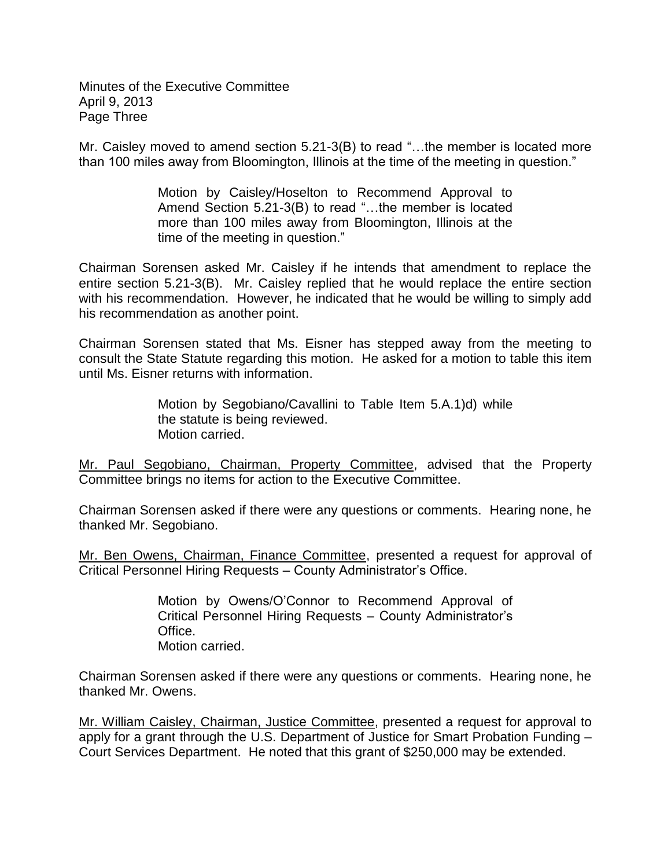Minutes of the Executive Committee April 9, 2013 Page Three

Mr. Caisley moved to amend section 5.21-3(B) to read "…the member is located more than 100 miles away from Bloomington, Illinois at the time of the meeting in question."

> Motion by Caisley/Hoselton to Recommend Approval to Amend Section 5.21-3(B) to read "…the member is located more than 100 miles away from Bloomington, Illinois at the time of the meeting in question."

Chairman Sorensen asked Mr. Caisley if he intends that amendment to replace the entire section 5.21-3(B). Mr. Caisley replied that he would replace the entire section with his recommendation. However, he indicated that he would be willing to simply add his recommendation as another point.

Chairman Sorensen stated that Ms. Eisner has stepped away from the meeting to consult the State Statute regarding this motion. He asked for a motion to table this item until Ms. Eisner returns with information.

> Motion by Segobiano/Cavallini to Table Item 5.A.1)d) while the statute is being reviewed. Motion carried.

Mr. Paul Segobiano, Chairman, Property Committee, advised that the Property Committee brings no items for action to the Executive Committee.

Chairman Sorensen asked if there were any questions or comments. Hearing none, he thanked Mr. Segobiano.

Mr. Ben Owens, Chairman, Finance Committee, presented a request for approval of Critical Personnel Hiring Requests – County Administrator's Office.

> Motion by Owens/O'Connor to Recommend Approval of Critical Personnel Hiring Requests – County Administrator's Office. Motion carried.

Chairman Sorensen asked if there were any questions or comments. Hearing none, he thanked Mr. Owens.

Mr. William Caisley, Chairman, Justice Committee, presented a request for approval to apply for a grant through the U.S. Department of Justice for Smart Probation Funding – Court Services Department. He noted that this grant of \$250,000 may be extended.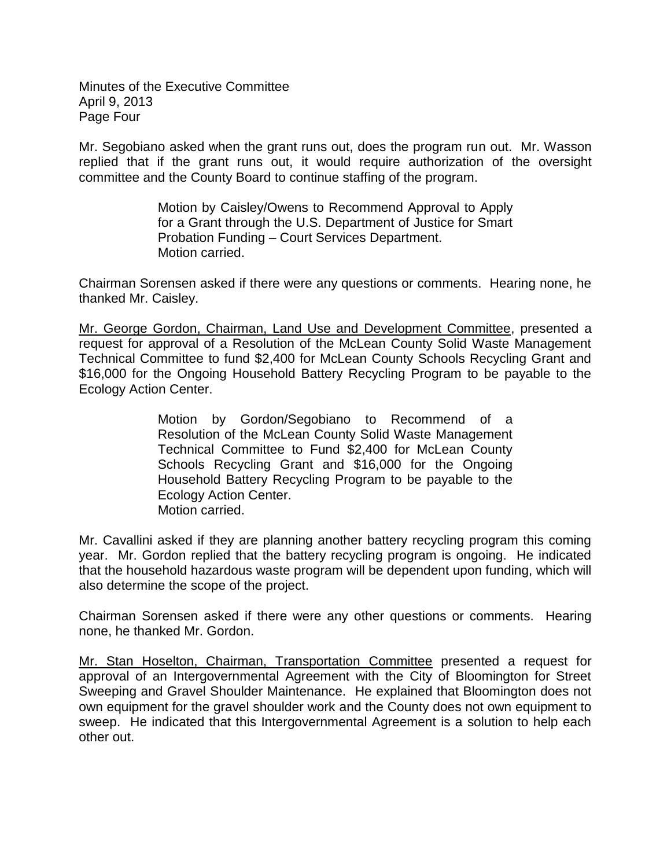Minutes of the Executive Committee April 9, 2013 Page Four

Mr. Segobiano asked when the grant runs out, does the program run out. Mr. Wasson replied that if the grant runs out, it would require authorization of the oversight committee and the County Board to continue staffing of the program.

> Motion by Caisley/Owens to Recommend Approval to Apply for a Grant through the U.S. Department of Justice for Smart Probation Funding – Court Services Department. Motion carried.

Chairman Sorensen asked if there were any questions or comments. Hearing none, he thanked Mr. Caisley.

Mr. George Gordon, Chairman, Land Use and Development Committee, presented a request for approval of a Resolution of the McLean County Solid Waste Management Technical Committee to fund \$2,400 for McLean County Schools Recycling Grant and \$16,000 for the Ongoing Household Battery Recycling Program to be payable to the Ecology Action Center.

> Motion by Gordon/Segobiano to Recommend of a Resolution of the McLean County Solid Waste Management Technical Committee to Fund \$2,400 for McLean County Schools Recycling Grant and \$16,000 for the Ongoing Household Battery Recycling Program to be payable to the Ecology Action Center. Motion carried.

Mr. Cavallini asked if they are planning another battery recycling program this coming year. Mr. Gordon replied that the battery recycling program is ongoing. He indicated that the household hazardous waste program will be dependent upon funding, which will also determine the scope of the project.

Chairman Sorensen asked if there were any other questions or comments. Hearing none, he thanked Mr. Gordon.

Mr. Stan Hoselton, Chairman, Transportation Committee presented a request for approval of an Intergovernmental Agreement with the City of Bloomington for Street Sweeping and Gravel Shoulder Maintenance. He explained that Bloomington does not own equipment for the gravel shoulder work and the County does not own equipment to sweep. He indicated that this Intergovernmental Agreement is a solution to help each other out.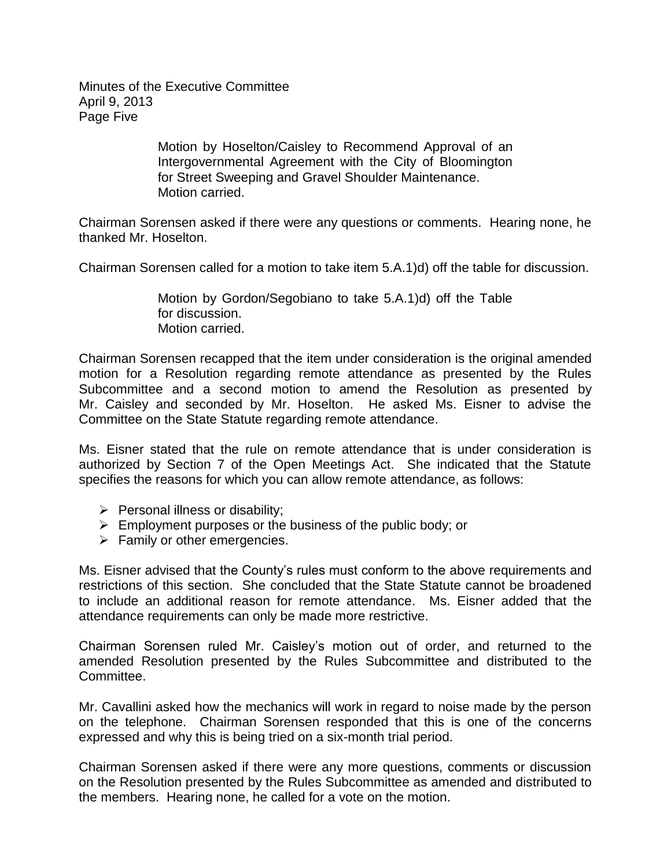Minutes of the Executive Committee April 9, 2013 Page Five

> Motion by Hoselton/Caisley to Recommend Approval of an Intergovernmental Agreement with the City of Bloomington for Street Sweeping and Gravel Shoulder Maintenance. Motion carried.

Chairman Sorensen asked if there were any questions or comments. Hearing none, he thanked Mr. Hoselton.

Chairman Sorensen called for a motion to take item 5.A.1)d) off the table for discussion.

Motion by Gordon/Segobiano to take 5.A.1)d) off the Table for discussion. Motion carried.

Chairman Sorensen recapped that the item under consideration is the original amended motion for a Resolution regarding remote attendance as presented by the Rules Subcommittee and a second motion to amend the Resolution as presented by Mr. Caisley and seconded by Mr. Hoselton. He asked Ms. Eisner to advise the Committee on the State Statute regarding remote attendance.

Ms. Eisner stated that the rule on remote attendance that is under consideration is authorized by Section 7 of the Open Meetings Act. She indicated that the Statute specifies the reasons for which you can allow remote attendance, as follows:

- $\triangleright$  Personal illness or disability;
- $\triangleright$  Employment purposes or the business of the public body; or
- $\triangleright$  Family or other emergencies.

Ms. Eisner advised that the County's rules must conform to the above requirements and restrictions of this section. She concluded that the State Statute cannot be broadened to include an additional reason for remote attendance. Ms. Eisner added that the attendance requirements can only be made more restrictive.

Chairman Sorensen ruled Mr. Caisley's motion out of order, and returned to the amended Resolution presented by the Rules Subcommittee and distributed to the Committee.

Mr. Cavallini asked how the mechanics will work in regard to noise made by the person on the telephone. Chairman Sorensen responded that this is one of the concerns expressed and why this is being tried on a six-month trial period.

Chairman Sorensen asked if there were any more questions, comments or discussion on the Resolution presented by the Rules Subcommittee as amended and distributed to the members. Hearing none, he called for a vote on the motion.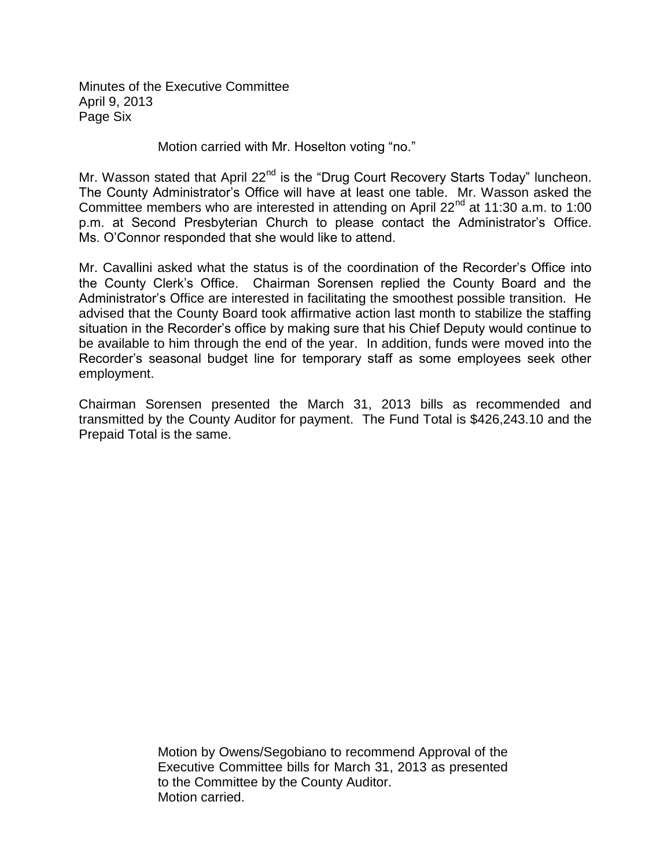Minutes of the Executive Committee April 9, 2013 Page Six

Motion carried with Mr. Hoselton voting "no."

Mr. Wasson stated that April 22<sup>nd</sup> is the "Drug Court Recovery Starts Today" luncheon. The County Administrator's Office will have at least one table. Mr. Wasson asked the Committee members who are interested in attending on April  $22<sup>nd</sup>$  at 11:30 a.m. to 1:00 p.m. at Second Presbyterian Church to please contact the Administrator's Office. Ms. O'Connor responded that she would like to attend.

Mr. Cavallini asked what the status is of the coordination of the Recorder's Office into the County Clerk's Office. Chairman Sorensen replied the County Board and the Administrator's Office are interested in facilitating the smoothest possible transition. He advised that the County Board took affirmative action last month to stabilize the staffing situation in the Recorder's office by making sure that his Chief Deputy would continue to be available to him through the end of the year. In addition, funds were moved into the Recorder's seasonal budget line for temporary staff as some employees seek other employment.

Chairman Sorensen presented the March 31, 2013 bills as recommended and transmitted by the County Auditor for payment. The Fund Total is \$426,243.10 and the Prepaid Total is the same.

> Motion by Owens/Segobiano to recommend Approval of the Executive Committee bills for March 31, 2013 as presented to the Committee by the County Auditor. Motion carried.